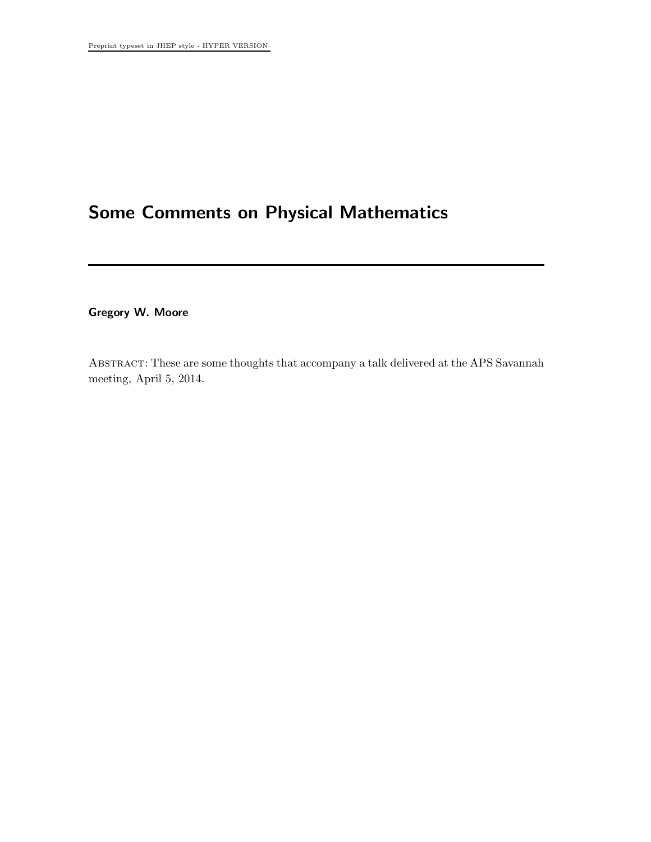## Some Comments on Physical Mathematics

Gregory W. Moore

Abstract: These are some thoughts that accompany a talk delivered at the APS Savannah meeting, April 5, 2014.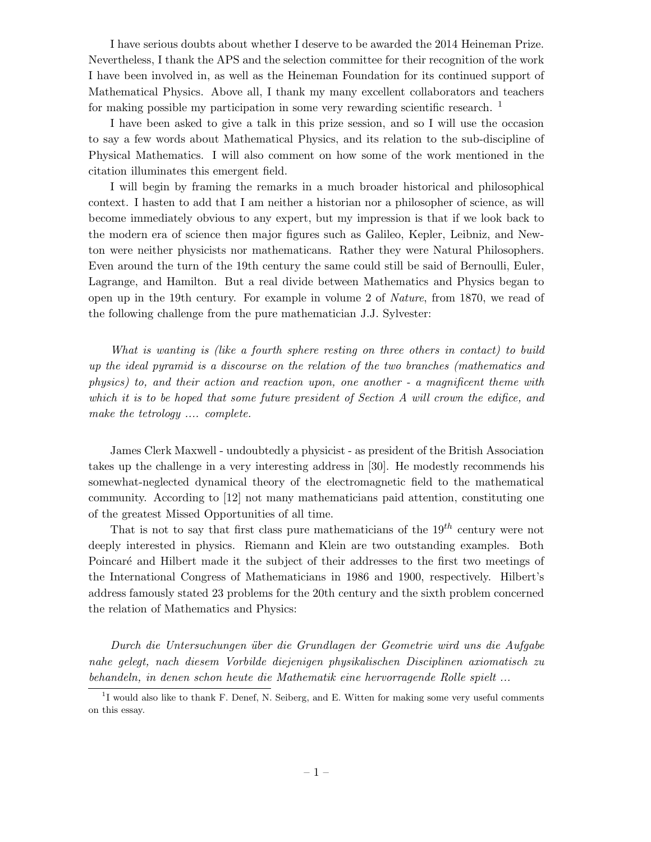I have serious doubts about whether I deserve to be awarded the 2014 Heineman Prize. Nevertheless, I thank the APS and the selection committee for their recognition of the work I have been involved in, as well as the Heineman Foundation for its continued support of Mathematical Physics. Above all, I thank my many excellent collaborators and teachers for making possible my participation in some very rewarding scientific research.  $\frac{1}{1}$ 

I have been asked to give a talk in this prize session, and so I will use the occasion to say a few words about Mathematical Physics, and its relation to the sub-discipline of Physical Mathematics. I will also comment on how some of the work mentioned in the citation illuminates this emergent field.

I will begin by framing the remarks in a much broader historical and philosophical context. I hasten to add that I am neither a historian nor a philosopher of science, as will become immediately obvious to any expert, but my impression is that if we look back to the modern era of science then major figures such as Galileo, Kepler, Leibniz, and Newton were neither physicists nor mathematicans. Rather they were Natural Philosophers. Even around the turn of the 19th century the same could still be said of Bernoulli, Euler, Lagrange, and Hamilton. But a real divide between Mathematics and Physics began to open up in the 19th century. For example in volume 2 of *Nature*, from 1870, we read of the following challenge from the pure mathematician J.J. Sylvester:

*What is wanting is (like a fourth sphere resting on three others in contact) to build up the ideal pyramid is a discourse on the relation of the two branches (mathematics and physics) to, and their action and reaction upon, one another - a magnificent theme with which it is to be hoped that some future president of Section A will crown the edifice, and make the tetrology .... complete.*

James Clerk Maxwell - undoubtedly a physicist - as president of the British Association takes up the challenge in a very interesting address in [30]. He modestly recommends his somewhat-neglected dynamical theory of the electromagnetic field to the mathematical community. According to [12] not many mathematicians paid attention, constituting one of the greatest Missed Opportunities of all time.

That is not to say that first class pure mathematicians of the  $19^{th}$  century were not deeply interested in physics. Riemann and Klein are two outstanding examples. Both Poincaré and Hilbert made it the subject of their addresses to the first two meetings of the International Congress of Mathematicians in 1986 and 1900, respectively. Hilbert's address famously stated 23 problems for the 20th century and the sixth problem concerned the relation of Mathematics and Physics:

*Durch die Untersuchungen ¨uber die Grundlagen der Geometrie wird uns die Aufgabe nahe gelegt, nach diesem Vorbilde diejenigen physikalischen Disciplinen axiomatisch zu behandeln, in denen schon heute die Mathematik eine hervorragende Rolle spielt ...*

<sup>&</sup>lt;sup>1</sup>I would also like to thank F. Denef, N. Seiberg, and E. Witten for making some very useful comments on this essay.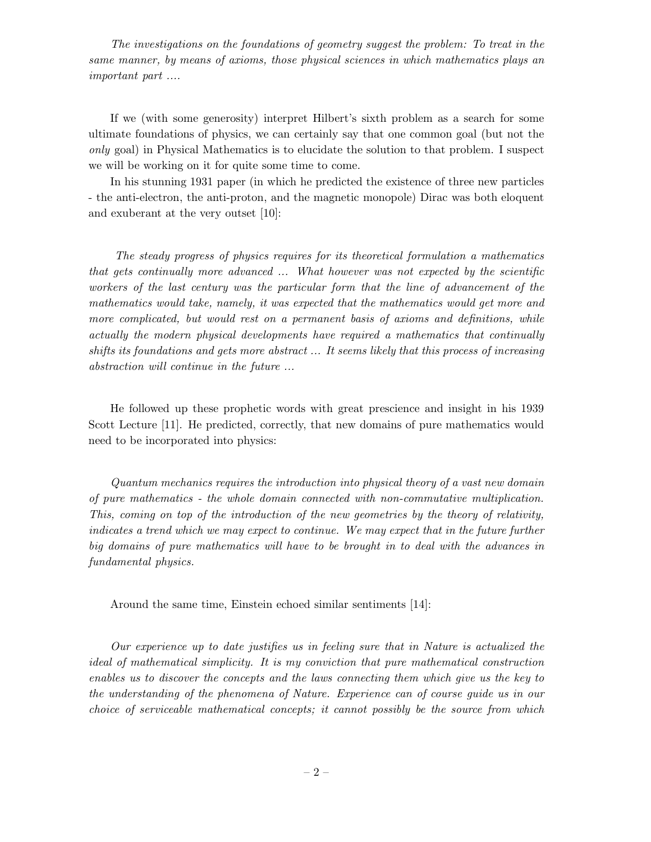*The investigations on the foundations of geometry suggest the problem: To treat in the same manner, by means of axioms, those physical sciences in which mathematics plays an important part ....*

If we (with some generosity) interpret Hilbert's sixth problem as a search for some ultimate foundations of physics, we can certainly say that one common goal (but not the *only* goal) in Physical Mathematics is to elucidate the solution to that problem. I suspect we will be working on it for quite some time to come.

In his stunning 1931 paper (in which he predicted the existence of three new particles - the anti-electron, the anti-proton, and the magnetic monopole) Dirac was both eloquent and exuberant at the very outset [10]:

*The steady progress of physics requires for its theoretical formulation a mathematics that gets continually more advanced ... What however was not expected by the scientific workers of the last century was the particular form that the line of advancement of the mathematics would take, namely, it was expected that the mathematics would get more and more complicated, but would rest on a permanent basis of axioms and definitions, while actually the modern physical developments have required a mathematics that continually shifts its foundations and gets more abstract ... It seems likely that this process of increasing abstraction will continue in the future ...*

He followed up these prophetic words with great prescience and insight in his 1939 Scott Lecture [11]. He predicted, correctly, that new domains of pure mathematics would need to be incorporated into physics:

*Quantum mechanics requires the introduction into physical theory of a vast new domain of pure mathematics - the whole domain connected with non-commutative multiplication. This, coming on top of the introduction of the new geometries by the theory of relativity, indicates a trend which we may expect to continue. We may expect that in the future further big domains of pure mathematics will have to be brought in to deal with the advances in fundamental physics.*

Around the same time, Einstein echoed similar sentiments [14]:

*Our experience up to date justifies us in feeling sure that in Nature is actualized the ideal of mathematical simplicity. It is my conviction that pure mathematical construction enables us to discover the concepts and the laws connecting them which give us the key to the understanding of the phenomena of Nature. Experience can of course guide us in our choice of serviceable mathematical concepts; it cannot possibly be the source from which*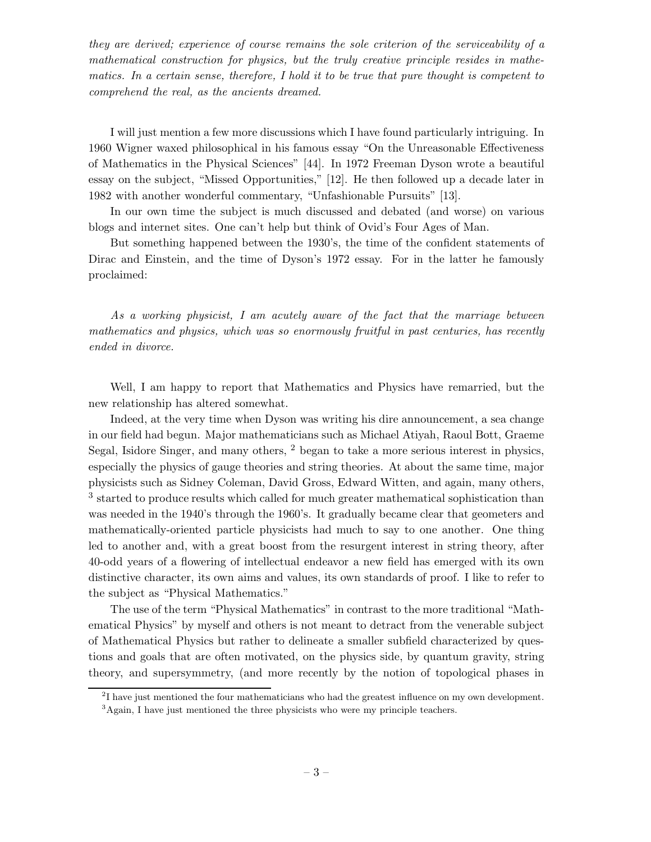*they are derived; experience of course remains the sole criterion of the serviceability of a mathematical construction for physics, but the truly creative principle resides in mathematics. In a certain sense, therefore, I hold it to be true that pure thought is competent to comprehend the real, as the ancients dreamed.*

I will just mention a few more discussions which I have found particularly intriguing. In 1960 Wigner waxed philosophical in his famous essay "On the Unreasonable Effectiveness of Mathematics in the Physical Sciences" [44]. In 1972 Freeman Dyson wrote a beautiful essay on the subject, "Missed Opportunities," [12]. He then followed up a decade later in 1982 with another wonderful commentary, "Unfashionable Pursuits" [13].

In our own time the subject is much discussed and debated (and worse) on various blogs and internet sites. One can't help but think of Ovid's Four Ages of Man.

But something happened between the 1930's, the time of the confident statements of Dirac and Einstein, and the time of Dyson's 1972 essay. For in the latter he famously proclaimed:

*As a working physicist, I am acutely aware of the fact that the marriage between mathematics and physics, which was so enormously fruitful in past centuries, has recently ended in divorce.*

Well, I am happy to report that Mathematics and Physics have remarried, but the new relationship has altered somewhat.

Indeed, at the very time when Dyson was writing his dire announcement, a sea change in our field had begun. Major mathematicians such as Michael Atiyah, Raoul Bott, Graeme Segal, Isidore Singer, and many others,  $2$  began to take a more serious interest in physics, especially the physics of gauge theories and string theories. At about the same time, major physicists such as Sidney Coleman, David Gross, Edward Witten, and again, many others, <sup>3</sup> started to produce results which called for much greater mathematical sophistication than was needed in the 1940's through the 1960's. It gradually became clear that geometers and mathematically-oriented particle physicists had much to say to one another. One thing led to another and, with a great boost from the resurgent interest in string theory, after 40-odd years of a flowering of intellectual endeavor a new field has emerged with its own distinctive character, its own aims and values, its own standards of proof. I like to refer to the subject as "Physical Mathematics."

The use of the term "Physical Mathematics" in contrast to the more traditional "Mathematical Physics" by myself and others is not meant to detract from the venerable subject of Mathematical Physics but rather to delineate a smaller subfield characterized by questions and goals that are often motivated, on the physics side, by quantum gravity, string theory, and supersymmetry, (and more recently by the notion of topological phases in

<sup>&</sup>lt;sup>2</sup>I have just mentioned the four mathematicians who had the greatest influence on my own development. <sup>3</sup>Again, I have just mentioned the three physicists who were my principle teachers.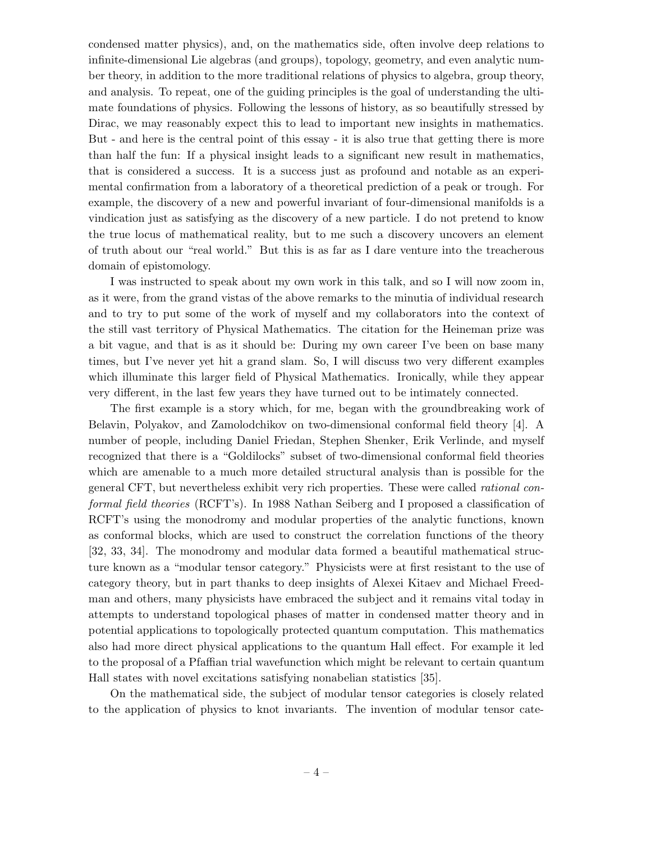condensed matter physics), and, on the mathematics side, often involve deep relations to infinite-dimensional Lie algebras (and groups), topology, geometry, and even analytic number theory, in addition to the more traditional relations of physics to algebra, group theory, and analysis. To repeat, one of the guiding principles is the goal of understanding the ultimate foundations of physics. Following the lessons of history, as so beautifully stressed by Dirac, we may reasonably expect this to lead to important new insights in mathematics. But - and here is the central point of this essay - it is also true that getting there is more than half the fun: If a physical insight leads to a significant new result in mathematics, that is considered a success. It is a success just as profound and notable as an experimental confirmation from a laboratory of a theoretical prediction of a peak or trough. For example, the discovery of a new and powerful invariant of four-dimensional manifolds is a vindication just as satisfying as the discovery of a new particle. I do not pretend to know the true locus of mathematical reality, but to me such a discovery uncovers an element of truth about our "real world." But this is as far as I dare venture into the treacherous domain of epistomology.

I was instructed to speak about my own work in this talk, and so I will now zoom in, as it were, from the grand vistas of the above remarks to the minutia of individual research and to try to put some of the work of myself and my collaborators into the context of the still vast territory of Physical Mathematics. The citation for the Heineman prize was a bit vague, and that is as it should be: During my own career I've been on base many times, but I've never yet hit a grand slam. So, I will discuss two very different examples which illuminate this larger field of Physical Mathematics. Ironically, while they appear very different, in the last few years they have turned out to be intimately connected.

The first example is a story which, for me, began with the groundbreaking work of Belavin, Polyakov, and Zamolodchikov on two-dimensional conformal field theory [4]. A number of people, including Daniel Friedan, Stephen Shenker, Erik Verlinde, and myself recognized that there is a "Goldilocks" subset of two-dimensional conformal field theories which are amenable to a much more detailed structural analysis than is possible for the general CFT, but nevertheless exhibit very rich properties. These were called *rational conformal field theories* (RCFT's). In 1988 Nathan Seiberg and I proposed a classification of RCFT's using the monodromy and modular properties of the analytic functions, known as conformal blocks, which are used to construct the correlation functions of the theory [32, 33, 34]. The monodromy and modular data formed a beautiful mathematical structure known as a "modular tensor category." Physicists were at first resistant to the use of category theory, but in part thanks to deep insights of Alexei Kitaev and Michael Freedman and others, many physicists have embraced the subject and it remains vital today in attempts to understand topological phases of matter in condensed matter theory and in potential applications to topologically protected quantum computation. This mathematics also had more direct physical applications to the quantum Hall effect. For example it led to the proposal of a Pfaffian trial wavefunction which might be relevant to certain quantum Hall states with novel excitations satisfying nonabelian statistics [35].

On the mathematical side, the subject of modular tensor categories is closely related to the application of physics to knot invariants. The invention of modular tensor cate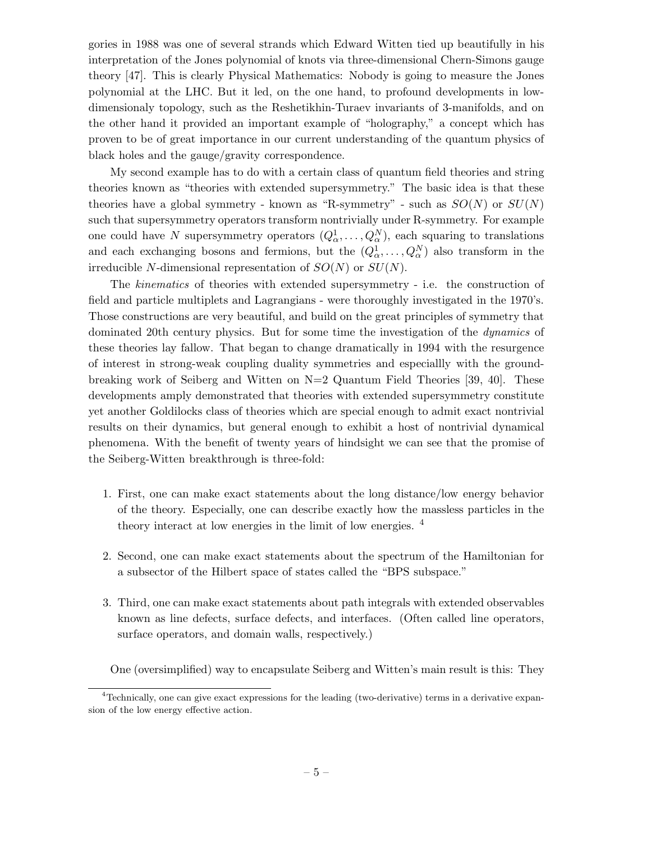gories in 1988 was one of several strands which Edward Witten tied up beautifully in his interpretation of the Jones polynomial of knots via three-dimensional Chern-Simons gauge theory [47]. This is clearly Physical Mathematics: Nobody is going to measure the Jones polynomial at the LHC. But it led, on the one hand, to profound developments in lowdimensionaly topology, such as the Reshetikhin-Turaev invariants of 3-manifolds, and on the other hand it provided an important example of "holography," a concept which has proven to be of great importance in our current understanding of the quantum physics of black holes and the gauge/gravity correspondence.

My second example has to do with a certain class of quantum field theories and string theories known as "theories with extended supersymmetry." The basic idea is that these theories have a global symmetry - known as "R-symmetry" - such as  $SO(N)$  or  $SU(N)$ such that supersymmetry operators transform nontrivially under R-symmetry. For example one could have N supersymmetry operators  $(Q^1_\alpha, \ldots, Q^N_\alpha)$ , each squaring to translations and each exchanging bosons and fermions, but the  $(Q^1_\alpha, \ldots, Q^N_\alpha)$  also transform in the irreducible N-dimensional representation of  $SO(N)$  or  $SU(N)$ .

The *kinematics* of theories with extended supersymmetry - i.e. the construction of field and particle multiplets and Lagrangians - were thoroughly investigated in the 1970's. Those constructions are very beautiful, and build on the great principles of symmetry that dominated 20th century physics. But for some time the investigation of the *dynamics* of these theories lay fallow. That began to change dramatically in 1994 with the resurgence of interest in strong-weak coupling duality symmetries and especiallly with the groundbreaking work of Seiberg and Witten on N=2 Quantum Field Theories [39, 40]. These developments amply demonstrated that theories with extended supersymmetry constitute yet another Goldilocks class of theories which are special enough to admit exact nontrivial results on their dynamics, but general enough to exhibit a host of nontrivial dynamical phenomena. With the benefit of twenty years of hindsight we can see that the promise of the Seiberg-Witten breakthrough is three-fold:

- 1. First, one can make exact statements about the long distance/low energy behavior of the theory. Especially, one can describe exactly how the massless particles in the theory interact at low energies in the limit of low energies. <sup>4</sup>
- 2. Second, one can make exact statements about the spectrum of the Hamiltonian for a subsector of the Hilbert space of states called the "BPS subspace."
- 3. Third, one can make exact statements about path integrals with extended observables known as line defects, surface defects, and interfaces. (Often called line operators, surface operators, and domain walls, respectively.)

One (oversimplified) way to encapsulate Seiberg and Witten's main result is this: They

<sup>&</sup>lt;sup>4</sup>Technically, one can give exact expressions for the leading (two-derivative) terms in a derivative expansion of the low energy effective action.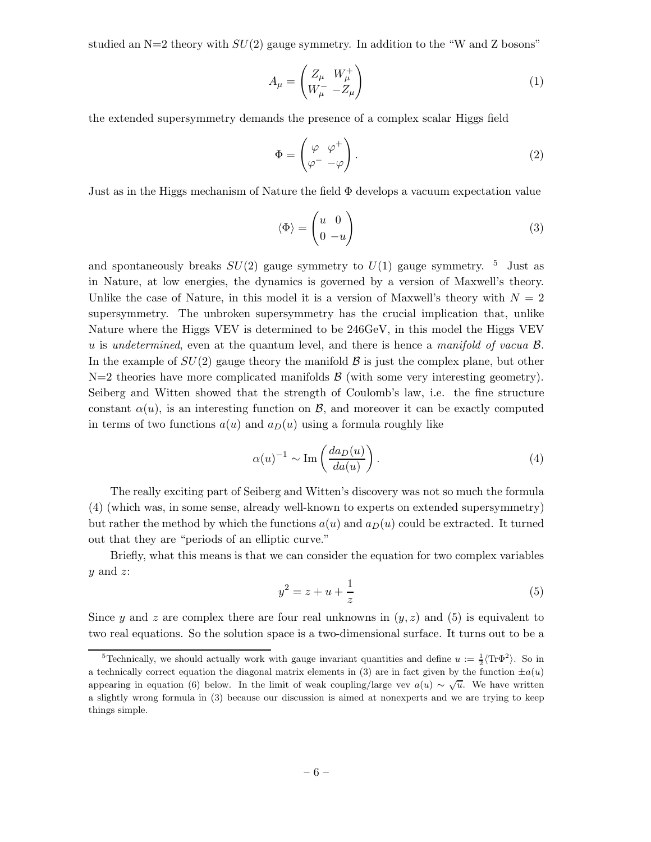studied an  $N=2$  theory with  $SU(2)$  gauge symmetry. In addition to the "W and Z bosons"

$$
A_{\mu} = \begin{pmatrix} Z_{\mu} & W_{\mu}^{+} \\ W_{\mu}^{-} & -Z_{\mu} \end{pmatrix}
$$
 (1)

the extended supersymmetry demands the presence of a complex scalar Higgs field

$$
\Phi = \begin{pmatrix} \varphi & \varphi^+ \\ \varphi^- & -\varphi \end{pmatrix} . \tag{2}
$$

Just as in the Higgs mechanism of Nature the field  $\Phi$  develops a vacuum expectation value

$$
\langle \Phi \rangle = \begin{pmatrix} u & 0 \\ 0 & -u \end{pmatrix} \tag{3}
$$

and spontaneously breaks  $SU(2)$  gauge symmetry to  $U(1)$  gauge symmetry. <sup>5</sup> Just as in Nature, at low energies, the dynamics is governed by a version of Maxwell's theory. Unlike the case of Nature, in this model it is a version of Maxwell's theory with  $N = 2$ supersymmetry. The unbroken supersymmetry has the crucial implication that, unlike Nature where the Higgs VEV is determined to be 246GeV, in this model the Higgs VEV u is *undetermined*, even at the quantum level, and there is hence a *manifold of vacua* B. In the example of  $SU(2)$  gauge theory the manifold  $\beta$  is just the complex plane, but other  $N=2$  theories have more complicated manifolds  $\beta$  (with some very interesting geometry). Seiberg and Witten showed that the strength of Coulomb's law, i.e. the fine structure constant  $\alpha(u)$ , is an interesting function on  $\beta$ , and moreover it can be exactly computed in terms of two functions  $a(u)$  and  $a_D(u)$  using a formula roughly like

$$
\alpha(u)^{-1} \sim \text{Im}\left(\frac{da_D(u)}{da(u)}\right). \tag{4}
$$

The really exciting part of Seiberg and Witten's discovery was not so much the formula (4) (which was, in some sense, already well-known to experts on extended supersymmetry) but rather the method by which the functions  $a(u)$  and  $a_D(u)$  could be extracted. It turned out that they are "periods of an elliptic curve."

Briefly, what this means is that we can consider the equation for two complex variables  $y$  and  $z$ :

$$
y^2 = z + u + \frac{1}{z} \tag{5}
$$

Since y and z are complex there are four real unknowns in  $(y, z)$  and (5) is equivalent to two real equations. So the solution space is a two-dimensional surface. It turns out to be a

<sup>&</sup>lt;sup>5</sup>Technically, we should actually work with gauge invariant quantities and define  $u := \frac{1}{2} \langle \text{Tr} \Phi^2 \rangle$ . So in a technically correct equation the diagonal matrix elements in (3) are in fact given by the function  $\pm a(u)$ appearing in equation (6) below. In the limit of weak coupling/large vev  $a(u) \sim \sqrt{u}$ . We have written a slightly wrong formula in (3) because our discussion is aimed at nonexperts and we are trying to keep things simple.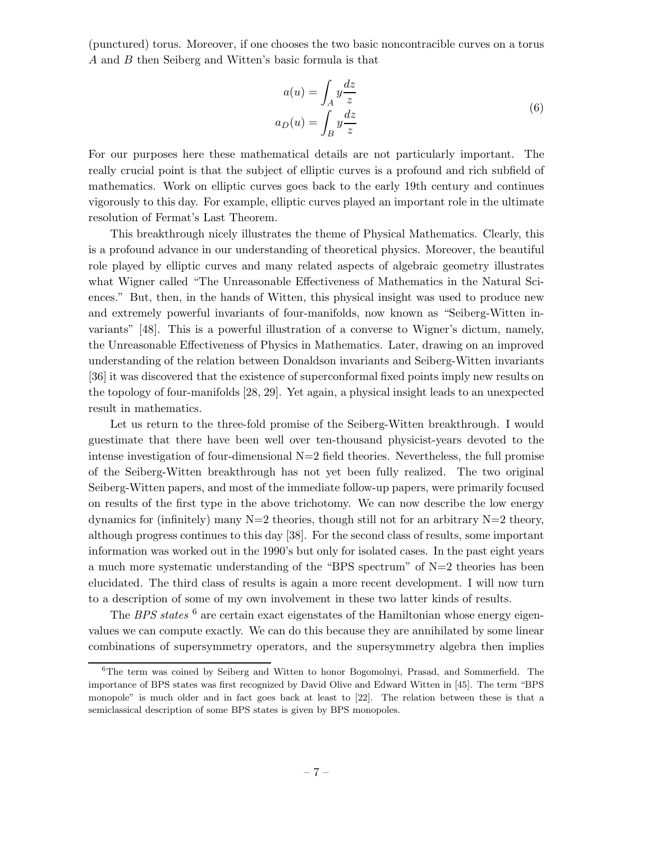(punctured) torus. Moreover, if one chooses the two basic noncontracible curves on a torus A and B then Seiberg and Witten's basic formula is that

$$
a(u) = \int_A y \frac{dz}{z}
$$
  
\n
$$
a_D(u) = \int_B y \frac{dz}{z}
$$
\n(6)

For our purposes here these mathematical details are not particularly important. The really crucial point is that the subject of elliptic curves is a profound and rich subfield of mathematics. Work on elliptic curves goes back to the early 19th century and continues vigorously to this day. For example, elliptic curves played an important role in the ultimate resolution of Fermat's Last Theorem.

This breakthrough nicely illustrates the theme of Physical Mathematics. Clearly, this is a profound advance in our understanding of theoretical physics. Moreover, the beautiful role played by elliptic curves and many related aspects of algebraic geometry illustrates what Wigner called "The Unreasonable Effectiveness of Mathematics in the Natural Sciences." But, then, in the hands of Witten, this physical insight was used to produce new and extremely powerful invariants of four-manifolds, now known as "Seiberg-Witten invariants" [48]. This is a powerful illustration of a converse to Wigner's dictum, namely, the Unreasonable Effectiveness of Physics in Mathematics. Later, drawing on an improved understanding of the relation between Donaldson invariants and Seiberg-Witten invariants [36] it was discovered that the existence of superconformal fixed points imply new results on the topology of four-manifolds [28, 29]. Yet again, a physical insight leads to an unexpected result in mathematics.

Let us return to the three-fold promise of the Seiberg-Witten breakthrough. I would guestimate that there have been well over ten-thousand physicist-years devoted to the intense investigation of four-dimensional  $N=2$  field theories. Nevertheless, the full promise of the Seiberg-Witten breakthrough has not yet been fully realized. The two original Seiberg-Witten papers, and most of the immediate follow-up papers, were primarily focused on results of the first type in the above trichotomy. We can now describe the low energy dynamics for (infinitely) many  $N=2$  theories, though still not for an arbitrary  $N=2$  theory, although progress continues to this day [38]. For the second class of results, some important information was worked out in the 1990's but only for isolated cases. In the past eight years a much more systematic understanding of the "BPS spectrum" of  $N=2$  theories has been elucidated. The third class of results is again a more recent development. I will now turn to a description of some of my own involvement in these two latter kinds of results.

The *BPS states* <sup>6</sup> are certain exact eigenstates of the Hamiltonian whose energy eigenvalues we can compute exactly. We can do this because they are annihilated by some linear combinations of supersymmetry operators, and the supersymmetry algebra then implies

<sup>6</sup>The term was coined by Seiberg and Witten to honor Bogomolnyi, Prasad, and Sommerfield. The importance of BPS states was first recognized by David Olive and Edward Witten in [45]. The term "BPS monopole" is much older and in fact goes back at least to [22]. The relation between these is that a semiclassical description of some BPS states is given by BPS monopoles.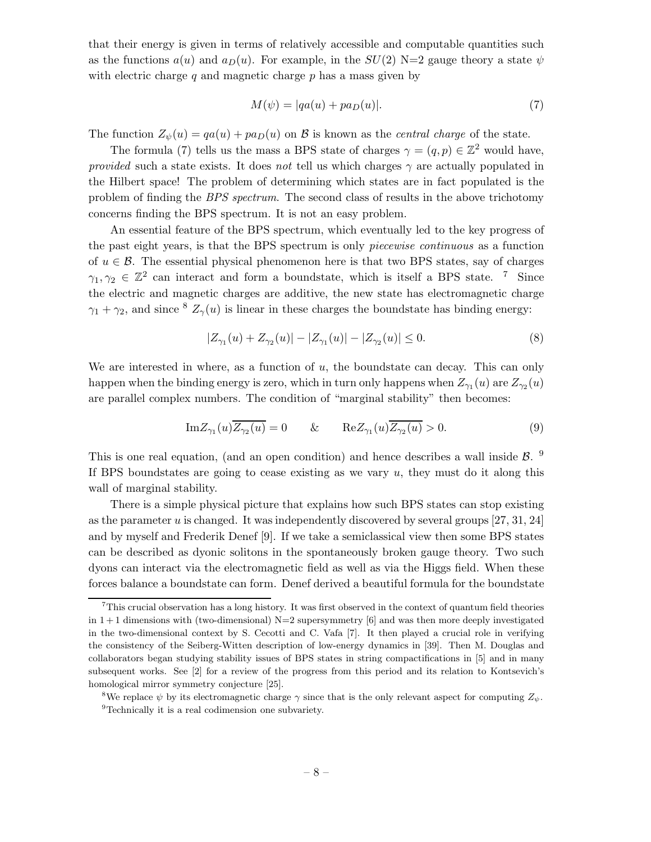that their energy is given in terms of relatively accessible and computable quantities such as the functions  $a(u)$  and  $a_D(u)$ . For example, in the  $SU(2)$  N=2 gauge theory a state  $\psi$ with electric charge  $q$  and magnetic charge  $p$  has a mass given by

$$
M(\psi) = |qa(u) + pa_D(u)|. \tag{7}
$$

The function  $Z_{\psi}(u) = qa(u) + pa_D(u)$  on B is known as the *central charge* of the state.

The formula (7) tells us the mass a BPS state of charges  $\gamma = (q, p) \in \mathbb{Z}^2$  would have, *provided* such a state exists. It does *not* tell us which charges  $\gamma$  are actually populated in the Hilbert space! The problem of determining which states are in fact populated is the problem of finding the *BPS spectrum*. The second class of results in the above trichotomy concerns finding the BPS spectrum. It is not an easy problem.

An essential feature of the BPS spectrum, which eventually led to the key progress of the past eight years, is that the BPS spectrum is only *piecewise continuous* as a function of  $u \in \mathcal{B}$ . The essential physical phenomenon here is that two BPS states, say of charges  $\gamma_1, \gamma_2 \in \mathbb{Z}^2$  can interact and form a boundstate, which is itself a BPS state. <sup>7</sup> Since the electric and magnetic charges are additive, the new state has electromagnetic charge  $\gamma_1 + \gamma_2$ , and since <sup>8</sup>  $Z_{\gamma}(u)$  is linear in these charges the boundstate has binding energy:

$$
|Z_{\gamma_1}(u) + Z_{\gamma_2}(u)| - |Z_{\gamma_1}(u)| - |Z_{\gamma_2}(u)| \le 0.
$$
 (8)

We are interested in where, as a function of  $u$ , the boundstate can decay. This can only happen when the binding energy is zero, which in turn only happens when  $Z_{\gamma_1}(u)$  are  $Z_{\gamma_2}(u)$ are parallel complex numbers. The condition of "marginal stability" then becomes:

$$
\text{Im}Z_{\gamma_1}(u)\overline{Z_{\gamma_2}(u)} = 0 \qquad \& \qquad \text{Re}Z_{\gamma_1}(u)\overline{Z_{\gamma_2}(u)} > 0. \tag{9}
$$

This is one real equation, (and an open condition) and hence describes a wall inside  $\beta$ . <sup>9</sup> If BPS boundstates are going to cease existing as we vary  $u$ , they must do it along this wall of marginal stability.

There is a simple physical picture that explains how such BPS states can stop existing as the parameter  $u$  is changed. It was independently discovered by several groups [27, 31, 24] and by myself and Frederik Denef [9]. If we take a semiclassical view then some BPS states can be described as dyonic solitons in the spontaneously broken gauge theory. Two such dyons can interact via the electromagnetic field as well as via the Higgs field. When these forces balance a boundstate can form. Denef derived a beautiful formula for the boundstate

<sup>7</sup>This crucial observation has a long history. It was first observed in the context of quantum field theories in  $1+1$  dimensions with (two-dimensional)  $N=2$  supersymmetry [6] and was then more deeply investigated in the two-dimensional context by S. Cecotti and C. Vafa [7]. It then played a crucial role in verifying the consistency of the Seiberg-Witten description of low-energy dynamics in [39]. Then M. Douglas and collaborators began studying stability issues of BPS states in string compactifications in [5] and in many subsequent works. See [2] for a review of the progress from this period and its relation to Kontsevich's homological mirror symmetry conjecture [25].

<sup>&</sup>lt;sup>8</sup>We replace  $\psi$  by its electromagnetic charge  $\gamma$  since that is the only relevant aspect for computing  $Z_{\psi}$ . <sup>9</sup>Technically it is a real codimension one subvariety.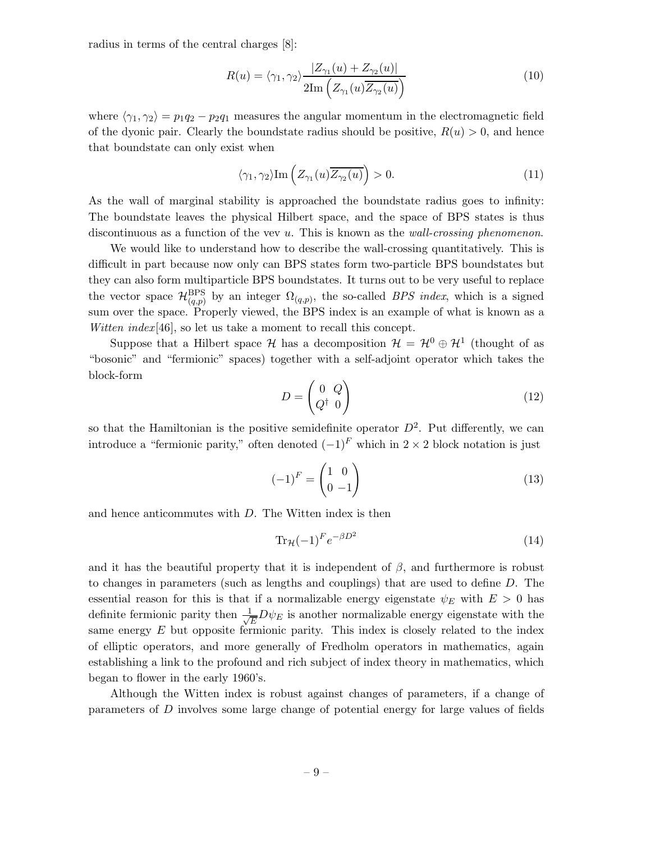radius in terms of the central charges [8]:

$$
R(u) = \langle \gamma_1, \gamma_2 \rangle \frac{|Z_{\gamma_1}(u) + Z_{\gamma_2}(u)|}{2\mathrm{Im}\left(Z_{\gamma_1}(u)\overline{Z_{\gamma_2}(u)}\right)} \tag{10}
$$

where  $\langle \gamma_1, \gamma_2 \rangle = p_1 q_2 - p_2 q_1$  measures the angular momentum in the electromagnetic field of the dyonic pair. Clearly the boundstate radius should be positive,  $R(u) > 0$ , and hence that boundstate can only exist when

$$
\langle \gamma_1, \gamma_2 \rangle \text{Im} \left( Z_{\gamma_1}(u) \overline{Z_{\gamma_2}(u)} \right) > 0. \tag{11}
$$

As the wall of marginal stability is approached the boundstate radius goes to infinity: The boundstate leaves the physical Hilbert space, and the space of BPS states is thus discontinuous as a function of the vev u. This is known as the *wall-crossing phenomenon*.

We would like to understand how to describe the wall-crossing quantitatively. This is difficult in part because now only can BPS states form two-particle BPS boundstates but they can also form multiparticle BPS boundstates. It turns out to be very useful to replace the vector space  $\mathcal{H}_{(q,p)}^{\text{BPS}}$  by an integer  $\Omega_{(q,p)}$ , the so-called *BPS index*, which is a signed sum over the space. Properly viewed, the BPS index is an example of what is known as a *Witten index* [46], so let us take a moment to recall this concept.

Suppose that a Hilbert space  $\mathcal{H}$  has a decomposition  $\mathcal{H} = \mathcal{H}^0 \oplus \mathcal{H}^1$  (thought of as "bosonic" and "fermionic" spaces) together with a self-adjoint operator which takes the block-form

$$
D = \begin{pmatrix} 0 & Q \\ Q^{\dagger} & 0 \end{pmatrix} \tag{12}
$$

so that the Hamiltonian is the positive semidefinite operator  $D^2$ . Put differently, we can introduce a "fermionic parity," often denoted  $(-1)^F$  which in 2 × 2 block notation is just

$$
(-1)^{F} = \begin{pmatrix} 1 & 0 \\ 0 & -1 \end{pmatrix} \tag{13}
$$

and hence anticommutes with D. The Witten index is then

$$
\operatorname{Tr}_{\mathcal{H}}(-1)^{F}e^{-\beta D^{2}} \tag{14}
$$

and it has the beautiful property that it is independent of  $\beta$ , and furthermore is robust to changes in parameters (such as lengths and couplings) that are used to define D. The essential reason for this is that if a normalizable energy eigenstate  $\psi_E$  with  $E > 0$  has definite fermionic parity then  $\frac{1}{\sqrt{2}}$  $\frac{1}{E}D\psi_E$  is another normalizable energy eigenstate with the same energy  $E$  but opposite fermionic parity. This index is closely related to the index of elliptic operators, and more generally of Fredholm operators in mathematics, again establishing a link to the profound and rich subject of index theory in mathematics, which began to flower in the early 1960's.

Although the Witten index is robust against changes of parameters, if a change of parameters of D involves some large change of potential energy for large values of fields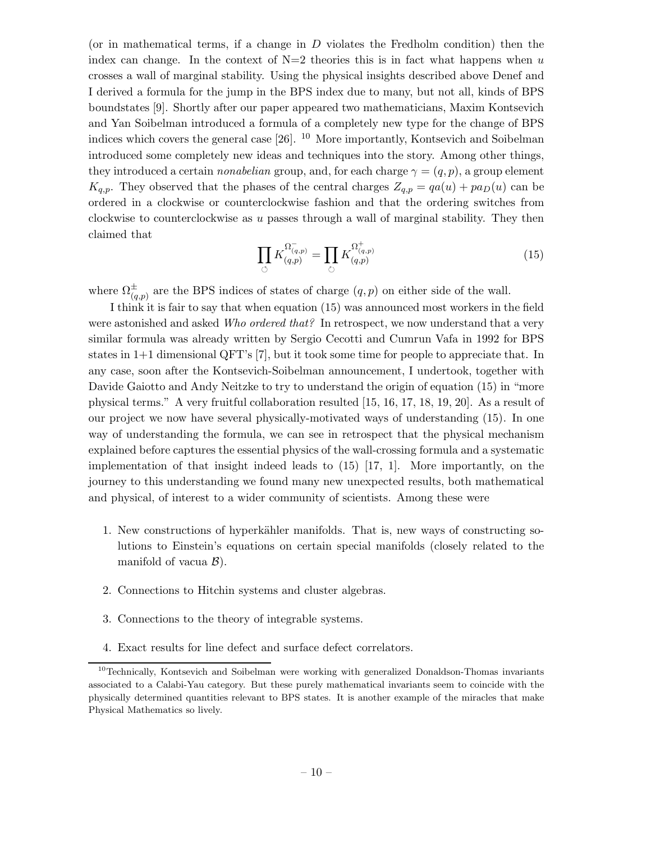(or in mathematical terms, if a change in D violates the Fredholm condition) then the index can change. In the context of  $N=2$  theories this is in fact what happens when u crosses a wall of marginal stability. Using the physical insights described above Denef and I derived a formula for the jump in the BPS index due to many, but not all, kinds of BPS boundstates [9]. Shortly after our paper appeared two mathematicians, Maxim Kontsevich and Yan Soibelman introduced a formula of a completely new type for the change of BPS indices which covers the general case  $[26]$ . <sup>10</sup> More importantly, Kontsevich and Soibelman introduced some completely new ideas and techniques into the story. Among other things, they introduced a certain *nonabelian* group, and, for each charge  $\gamma = (q, p)$ , a group element  $K_{q,p}$ . They observed that the phases of the central charges  $Z_{q,p} = qa(u) + pa_D(u)$  can be ordered in a clockwise or counterclockwise fashion and that the ordering switches from clockwise to counterclockwise as u passes through a wall of marginal stability. They then claimed that

$$
\prod_{\circlearrowleft} K_{(q,p)}^{\Omega_{(q,p)}^-} = \prod_{\circlearrowright} K_{(q,p)}^{\Omega_{(q,p)}^+}
$$
\n(15)

where  $\Omega_{(q,p)}^{\pm}$  are the BPS indices of states of charge  $(q, p)$  on either side of the wall.

I think it is fair to say that when equation (15) was announced most workers in the field were astonished and asked *Who ordered that?* In retrospect, we now understand that a very similar formula was already written by Sergio Cecotti and Cumrun Vafa in 1992 for BPS states in 1+1 dimensional QFT's [7], but it took some time for people to appreciate that. In any case, soon after the Kontsevich-Soibelman announcement, I undertook, together with Davide Gaiotto and Andy Neitzke to try to understand the origin of equation (15) in "more physical terms." A very fruitful collaboration resulted [15, 16, 17, 18, 19, 20]. As a result of our project we now have several physically-motivated ways of understanding (15). In one way of understanding the formula, we can see in retrospect that the physical mechanism explained before captures the essential physics of the wall-crossing formula and a systematic implementation of that insight indeed leads to  $(15)$  [17, 1]. More importantly, on the journey to this understanding we found many new unexpected results, both mathematical and physical, of interest to a wider community of scientists. Among these were

- 1. New constructions of hyperkähler manifolds. That is, new ways of constructing solutions to Einstein's equations on certain special manifolds (closely related to the manifold of vacua  $\mathcal{B}$ ).
- 2. Connections to Hitchin systems and cluster algebras.
- 3. Connections to the theory of integrable systems.
- 4. Exact results for line defect and surface defect correlators.

<sup>10</sup>Technically, Kontsevich and Soibelman were working with generalized Donaldson-Thomas invariants associated to a Calabi-Yau category. But these purely mathematical invariants seem to coincide with the physically determined quantities relevant to BPS states. It is another example of the miracles that make Physical Mathematics so lively.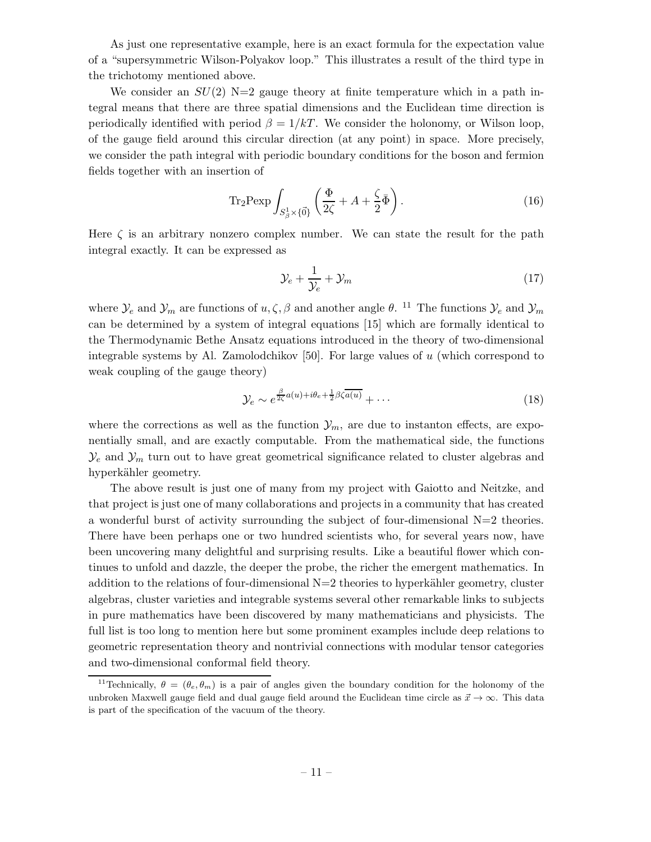As just one representative example, here is an exact formula for the expectation value of a "supersymmetric Wilson-Polyakov loop." This illustrates a result of the third type in the trichotomy mentioned above.

We consider an  $SU(2)$  N=2 gauge theory at finite temperature which in a path integral means that there are three spatial dimensions and the Euclidean time direction is periodically identified with period  $\beta = 1/kT$ . We consider the holonomy, or Wilson loop, of the gauge field around this circular direction (at any point) in space. More precisely, we consider the path integral with periodic boundary conditions for the boson and fermion fields together with an insertion of

$$
\text{Tr}_2 \text{Pexp} \int_{S^1_{\beta} \times \{\vec{0}\}} \left( \frac{\Phi}{2\zeta} + A + \frac{\zeta}{2} \bar{\Phi} \right). \tag{16}
$$

Here  $\zeta$  is an arbitrary nonzero complex number. We can state the result for the path integral exactly. It can be expressed as

$$
\mathcal{Y}_e + \frac{1}{\mathcal{Y}_e} + \mathcal{Y}_m \tag{17}
$$

where  $\mathcal{Y}_e$  and  $\mathcal{Y}_m$  are functions of  $u, \zeta, \beta$  and another angle  $\theta$ . <sup>11</sup> The functions  $\mathcal{Y}_e$  and  $\mathcal{Y}_m$ can be determined by a system of integral equations [15] which are formally identical to the Thermodynamic Bethe Ansatz equations introduced in the theory of two-dimensional integrable systems by Al. Zamolodchikov  $[50]$ . For large values of u (which correspond to weak coupling of the gauge theory)

$$
\mathcal{Y}_e \sim e^{\frac{\beta}{2\zeta}a(u) + i\theta_e + \frac{1}{2}\beta\zeta\overline{a(u)}} + \cdots \tag{18}
$$

where the corrections as well as the function  $\mathcal{Y}_m$ , are due to instanton effects, are exponentially small, and are exactly computable. From the mathematical side, the functions  $\mathcal{Y}_e$  and  $\mathcal{Y}_m$  turn out to have great geometrical significance related to cluster algebras and hyperkähler geometry.

The above result is just one of many from my project with Gaiotto and Neitzke, and that project is just one of many collaborations and projects in a community that has created a wonderful burst of activity surrounding the subject of four-dimensional  $N=2$  theories. There have been perhaps one or two hundred scientists who, for several years now, have been uncovering many delightful and surprising results. Like a beautiful flower which continues to unfold and dazzle, the deeper the probe, the richer the emergent mathematics. In addition to the relations of four-dimensional  $N=2$  theories to hyperkähler geometry, cluster algebras, cluster varieties and integrable systems several other remarkable links to subjects in pure mathematics have been discovered by many mathematicians and physicists. The full list is too long to mention here but some prominent examples include deep relations to geometric representation theory and nontrivial connections with modular tensor categories and two-dimensional conformal field theory.

<sup>&</sup>lt;sup>11</sup>Technically,  $\theta = (\theta_e, \theta_m)$  is a pair of angles given the boundary condition for the holonomy of the unbroken Maxwell gauge field and dual gauge field around the Euclidean time circle as  $\vec{x} \to \infty$ . This data is part of the specification of the vacuum of the theory.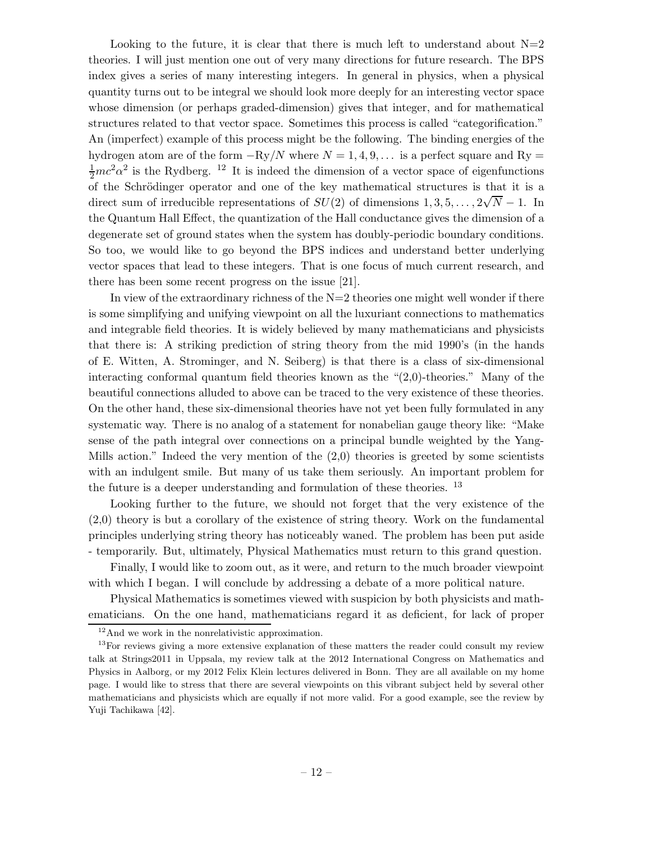Looking to the future, it is clear that there is much left to understand about  $N=2$ theories. I will just mention one out of very many directions for future research. The BPS index gives a series of many interesting integers. In general in physics, when a physical quantity turns out to be integral we should look more deeply for an interesting vector space whose dimension (or perhaps graded-dimension) gives that integer, and for mathematical structures related to that vector space. Sometimes this process is called "categorification." An (imperfect) example of this process might be the following. The binding energies of the hydrogen atom are of the form  $-Ry/N$  where  $N = 1, 4, 9, \ldots$  is a perfect square and Ry  $\frac{1}{2}mc^2\alpha^2$  is the Rydberg. <sup>12</sup> It is indeed the dimension of a vector space of eigenfunctions of the Schrödinger operator and one of the key mathematical structures is that it is a direct sum of irreducible representations of  $SU(2)$  of dimensions  $1, 3, 5, \ldots, 2\sqrt{N} - 1$ . In the Quantum Hall Effect, the quantization of the Hall conductance gives the dimension of a degenerate set of ground states when the system has doubly-periodic boundary conditions. So too, we would like to go beyond the BPS indices and understand better underlying vector spaces that lead to these integers. That is one focus of much current research, and there has been some recent progress on the issue [21].

In view of the extraordinary richness of the  $N=2$  theories one might well wonder if there is some simplifying and unifying viewpoint on all the luxuriant connections to mathematics and integrable field theories. It is widely believed by many mathematicians and physicists that there is: A striking prediction of string theory from the mid 1990's (in the hands of E. Witten, A. Strominger, and N. Seiberg) is that there is a class of six-dimensional interacting conformal quantum field theories known as the "(2,0)-theories." Many of the beautiful connections alluded to above can be traced to the very existence of these theories. On the other hand, these six-dimensional theories have not yet been fully formulated in any systematic way. There is no analog of a statement for nonabelian gauge theory like: "Make sense of the path integral over connections on a principal bundle weighted by the Yang-Mills action." Indeed the very mention of the  $(2,0)$  theories is greeted by some scientists with an indulgent smile. But many of us take them seriously. An important problem for the future is a deeper understanding and formulation of these theories. <sup>13</sup>

Looking further to the future, we should not forget that the very existence of the (2,0) theory is but a corollary of the existence of string theory. Work on the fundamental principles underlying string theory has noticeably waned. The problem has been put aside - temporarily. But, ultimately, Physical Mathematics must return to this grand question.

Finally, I would like to zoom out, as it were, and return to the much broader viewpoint with which I began. I will conclude by addressing a debate of a more political nature.

Physical Mathematics is sometimes viewed with suspicion by both physicists and mathematicians. On the one hand, mathematicians regard it as deficient, for lack of proper

 $12$ And we work in the nonrelativistic approximation.

<sup>&</sup>lt;sup>13</sup>For reviews giving a more extensive explanation of these matters the reader could consult my review talk at Strings2011 in Uppsala, my review talk at the 2012 International Congress on Mathematics and Physics in Aalborg, or my 2012 Felix Klein lectures delivered in Bonn. They are all available on my home page. I would like to stress that there are several viewpoints on this vibrant subject held by several other mathematicians and physicists which are equally if not more valid. For a good example, see the review by Yuji Tachikawa [42].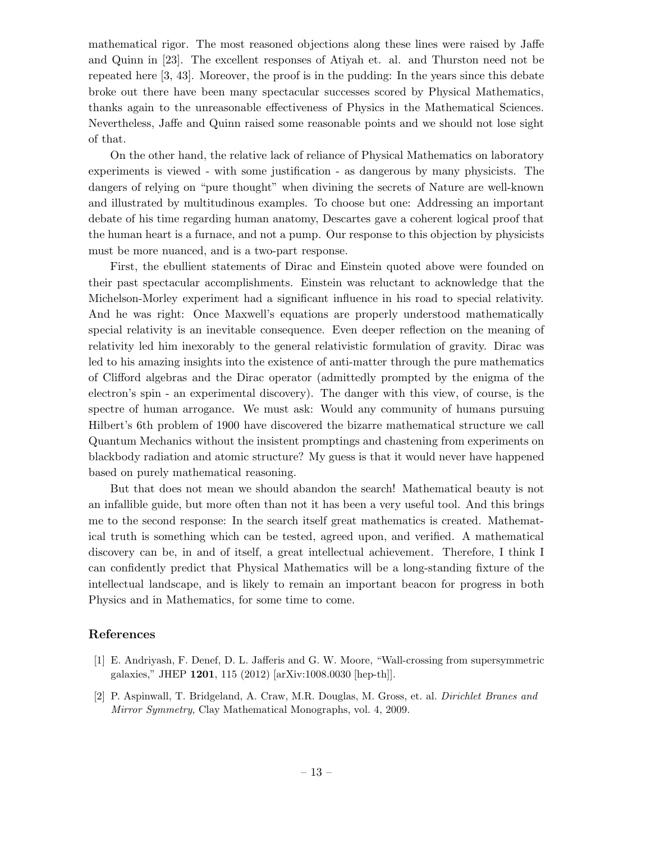mathematical rigor. The most reasoned objections along these lines were raised by Jaffe and Quinn in [23]. The excellent responses of Atiyah et. al. and Thurston need not be repeated here [3, 43]. Moreover, the proof is in the pudding: In the years since this debate broke out there have been many spectacular successes scored by Physical Mathematics, thanks again to the unreasonable effectiveness of Physics in the Mathematical Sciences. Nevertheless, Jaffe and Quinn raised some reasonable points and we should not lose sight of that.

On the other hand, the relative lack of reliance of Physical Mathematics on laboratory experiments is viewed - with some justification - as dangerous by many physicists. The dangers of relying on "pure thought" when divining the secrets of Nature are well-known and illustrated by multitudinous examples. To choose but one: Addressing an important debate of his time regarding human anatomy, Descartes gave a coherent logical proof that the human heart is a furnace, and not a pump. Our response to this objection by physicists must be more nuanced, and is a two-part response.

First, the ebullient statements of Dirac and Einstein quoted above were founded on their past spectacular accomplishments. Einstein was reluctant to acknowledge that the Michelson-Morley experiment had a significant influence in his road to special relativity. And he was right: Once Maxwell's equations are properly understood mathematically special relativity is an inevitable consequence. Even deeper reflection on the meaning of relativity led him inexorably to the general relativistic formulation of gravity. Dirac was led to his amazing insights into the existence of anti-matter through the pure mathematics of Clifford algebras and the Dirac operator (admittedly prompted by the enigma of the electron's spin - an experimental discovery). The danger with this view, of course, is the spectre of human arrogance. We must ask: Would any community of humans pursuing Hilbert's 6th problem of 1900 have discovered the bizarre mathematical structure we call Quantum Mechanics without the insistent promptings and chastening from experiments on blackbody radiation and atomic structure? My guess is that it would never have happened based on purely mathematical reasoning.

But that does not mean we should abandon the search! Mathematical beauty is not an infallible guide, but more often than not it has been a very useful tool. And this brings me to the second response: In the search itself great mathematics is created. Mathematical truth is something which can be tested, agreed upon, and verified. A mathematical discovery can be, in and of itself, a great intellectual achievement. Therefore, I think I can confidently predict that Physical Mathematics will be a long-standing fixture of the intellectual landscape, and is likely to remain an important beacon for progress in both Physics and in Mathematics, for some time to come.

## References

- [1] E. Andriyash, F. Denef, D. L. Jafferis and G. W. Moore, "Wall-crossing from supersymmetric galaxies," JHEP 1201, 115 (2012) [arXiv:1008.0030 [hep-th]].
- [2] P. Aspinwall, T. Bridgeland, A. Craw, M.R. Douglas, M. Gross, et. al. *Dirichlet Branes and Mirror Symmetry*, Clay Mathematical Monographs, vol. 4, 2009.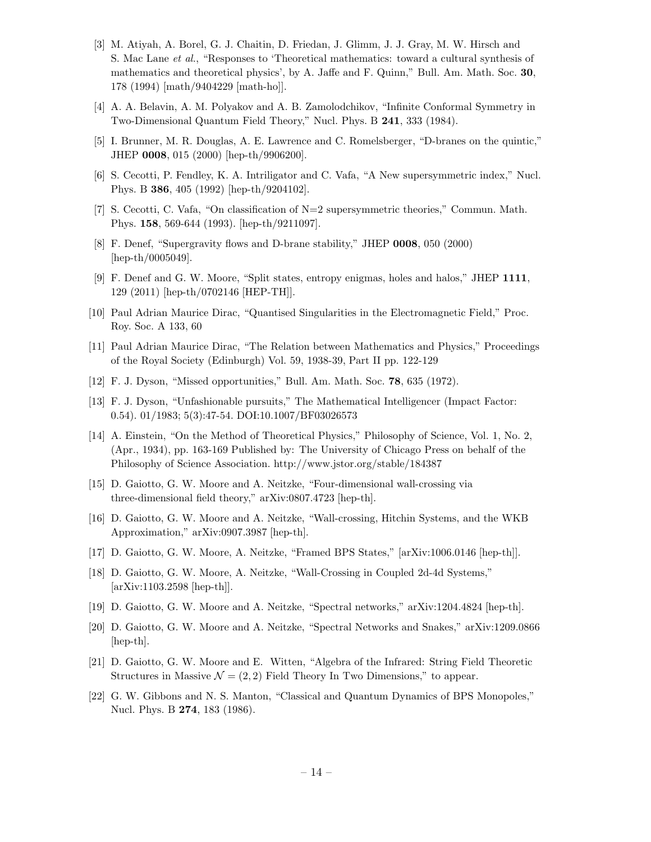- [3] M. Atiyah, A. Borel, G. J. Chaitin, D. Friedan, J. Glimm, J. J. Gray, M. W. Hirsch and S. Mac Lane *et al.*, "Responses to 'Theoretical mathematics: toward a cultural synthesis of mathematics and theoretical physics', by A. Jaffe and F. Quinn," Bull. Am. Math. Soc. 30, 178 (1994) [math/9404229 [math-ho]].
- [4] A. A. Belavin, A. M. Polyakov and A. B. Zamolodchikov, "Infinite Conformal Symmetry in Two-Dimensional Quantum Field Theory," Nucl. Phys. B 241, 333 (1984).
- [5] I. Brunner, M. R. Douglas, A. E. Lawrence and C. Romelsberger, "D-branes on the quintic," JHEP 0008, 015 (2000) [hep-th/9906200].
- [6] S. Cecotti, P. Fendley, K. A. Intriligator and C. Vafa, "A New supersymmetric index," Nucl. Phys. B 386, 405 (1992) [hep-th/9204102].
- [7] S. Cecotti, C. Vafa, "On classification of N=2 supersymmetric theories," Commun. Math. Phys. 158, 569-644 (1993). [hep-th/9211097].
- [8] F. Denef, "Supergravity flows and D-brane stability," JHEP 0008, 050 (2000) [hep-th/0005049].
- [9] F. Denef and G. W. Moore, "Split states, entropy enigmas, holes and halos," JHEP 1111, 129 (2011) [hep-th/0702146 [HEP-TH]].
- [10] Paul Adrian Maurice Dirac, "Quantised Singularities in the Electromagnetic Field," Proc. Roy. Soc. A 133, 60
- [11] Paul Adrian Maurice Dirac, "The Relation between Mathematics and Physics," Proceedings of the Royal Society (Edinburgh) Vol. 59, 1938-39, Part II pp. 122-129
- [12] F. J. Dyson, "Missed opportunities," Bull. Am. Math. Soc. 78, 635 (1972).
- [13] F. J. Dyson, "Unfashionable pursuits," The Mathematical Intelligencer (Impact Factor: 0.54). 01/1983; 5(3):47-54. DOI:10.1007/BF03026573
- [14] A. Einstein, "On the Method of Theoretical Physics," Philosophy of Science, Vol. 1, No. 2, (Apr., 1934), pp. 163-169 Published by: The University of Chicago Press on behalf of the Philosophy of Science Association. http://www.jstor.org/stable/184387
- [15] D. Gaiotto, G. W. Moore and A. Neitzke, "Four-dimensional wall-crossing via three-dimensional field theory," arXiv:0807.4723 [hep-th].
- [16] D. Gaiotto, G. W. Moore and A. Neitzke, "Wall-crossing, Hitchin Systems, and the WKB Approximation," arXiv:0907.3987 [hep-th].
- [17] D. Gaiotto, G. W. Moore, A. Neitzke, "Framed BPS States," [arXiv:1006.0146 [hep-th]].
- [18] D. Gaiotto, G. W. Moore, A. Neitzke, "Wall-Crossing in Coupled 2d-4d Systems," [arXiv:1103.2598 [hep-th]].
- [19] D. Gaiotto, G. W. Moore and A. Neitzke, "Spectral networks," arXiv:1204.4824 [hep-th].
- [20] D. Gaiotto, G. W. Moore and A. Neitzke, "Spectral Networks and Snakes," arXiv:1209.0866 [hep-th].
- [21] D. Gaiotto, G. W. Moore and E. Witten, "Algebra of the Infrared: String Field Theoretic Structures in Massive  $\mathcal{N} = (2, 2)$  Field Theory In Two Dimensions," to appear.
- [22] G. W. Gibbons and N. S. Manton, "Classical and Quantum Dynamics of BPS Monopoles," Nucl. Phys. B 274, 183 (1986).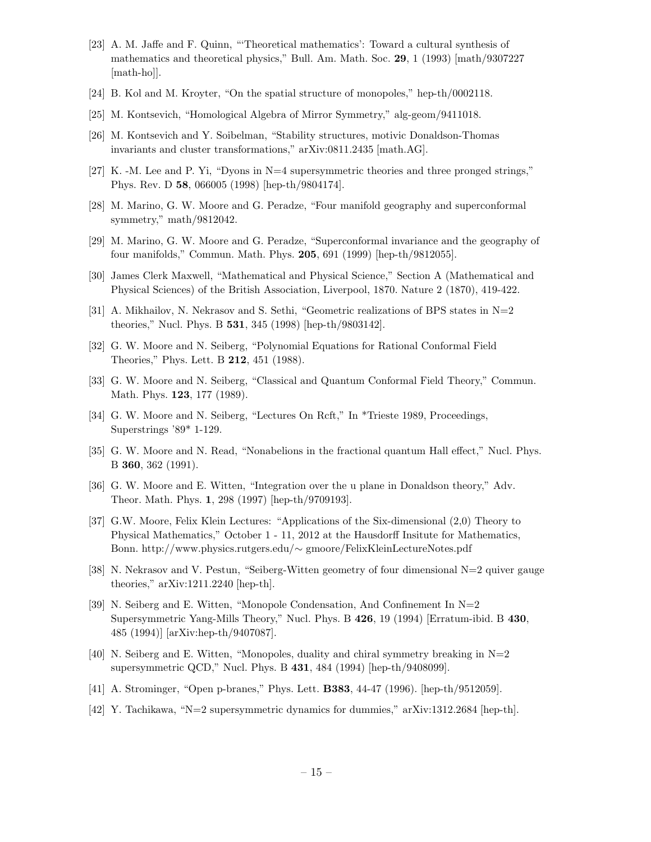- [23] A. M. Jaffe and F. Quinn, "'Theoretical mathematics': Toward a cultural synthesis of mathematics and theoretical physics," Bull. Am. Math. Soc. 29, 1 (1993) [math/9307227 [math-ho]].
- [24] B. Kol and M. Kroyter, "On the spatial structure of monopoles," hep-th/0002118.
- [25] M. Kontsevich, "Homological Algebra of Mirror Symmetry," alg-geom/9411018.
- [26] M. Kontsevich and Y. Soibelman, "Stability structures, motivic Donaldson-Thomas invariants and cluster transformations," arXiv:0811.2435 [math.AG].
- [27] K. -M. Lee and P. Yi, "Dyons in N=4 supersymmetric theories and three pronged strings," Phys. Rev. D 58, 066005 (1998) [hep-th/9804174].
- [28] M. Marino, G. W. Moore and G. Peradze, "Four manifold geography and superconformal symmetry," math/9812042.
- [29] M. Marino, G. W. Moore and G. Peradze, "Superconformal invariance and the geography of four manifolds," Commun. Math. Phys. 205, 691 (1999) [hep-th/9812055].
- [30] James Clerk Maxwell, "Mathematical and Physical Science," Section A (Mathematical and Physical Sciences) of the British Association, Liverpool, 1870. Nature 2 (1870), 419-422.
- [31] A. Mikhailov, N. Nekrasov and S. Sethi, "Geometric realizations of BPS states in N=2 theories," Nucl. Phys. B 531, 345 (1998) [hep-th/9803142].
- [32] G. W. Moore and N. Seiberg, "Polynomial Equations for Rational Conformal Field Theories," Phys. Lett. B 212, 451 (1988).
- [33] G. W. Moore and N. Seiberg, "Classical and Quantum Conformal Field Theory," Commun. Math. Phys. 123, 177 (1989).
- [34] G. W. Moore and N. Seiberg, "Lectures On Rcft," In \*Trieste 1989, Proceedings, Superstrings '89\* 1-129.
- [35] G. W. Moore and N. Read, "Nonabelions in the fractional quantum Hall effect," Nucl. Phys. B 360, 362 (1991).
- [36] G. W. Moore and E. Witten, "Integration over the u plane in Donaldson theory," Adv. Theor. Math. Phys. 1, 298 (1997) [hep-th/9709193].
- [37] G.W. Moore, Felix Klein Lectures: "Applications of the Six-dimensional (2,0) Theory to Physical Mathematics," October 1 - 11, 2012 at the Hausdorff Insitute for Mathematics, Bonn. http://www.physics.rutgers.edu/∼ gmoore/FelixKleinLectureNotes.pdf
- [38] N. Nekrasov and V. Pestun, "Seiberg-Witten geometry of four dimensional N=2 quiver gauge theories," arXiv:1211.2240 [hep-th].
- [39] N. Seiberg and E. Witten, "Monopole Condensation, And Confinement In N=2 Supersymmetric Yang-Mills Theory," Nucl. Phys. B 426, 19 (1994) [Erratum-ibid. B 430, 485 (1994)] [arXiv:hep-th/9407087].
- [40] N. Seiberg and E. Witten, "Monopoles, duality and chiral symmetry breaking in  $N=2$ supersymmetric QCD," Nucl. Phys. B 431, 484 (1994) [hep-th/9408099].
- [41] A. Strominger, "Open p-branes," Phys. Lett. B383, 44-47 (1996). [hep-th/9512059].
- [42] Y. Tachikawa, "N=2 supersymmetric dynamics for dummies," arXiv:1312.2684 [hep-th].